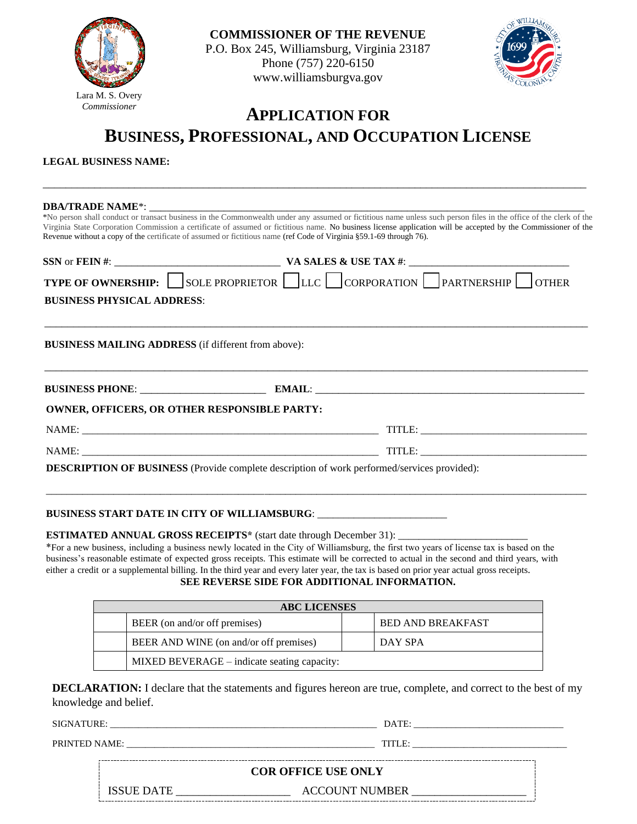

**COMMISSIONER OF THE REVENUE**  P.O. Box 245, Williamsburg, Virginia 23187 Phone (757) 220-6150 www.williamsburgva.gov



## **APPLICATION FOR BUSINESS, PROFESSIONAL, AND OCCUPATION LICENSE**

\_\_\_\_\_\_\_\_\_\_\_\_\_\_\_\_\_\_\_\_\_\_\_\_\_\_\_\_\_\_\_\_\_\_\_\_\_\_\_\_\_\_\_\_\_\_\_\_\_\_\_\_\_\_\_\_\_\_\_\_\_\_\_\_\_\_\_\_\_\_\_\_\_\_\_\_\_\_\_\_\_\_\_\_\_\_\_\_\_\_\_\_\_\_\_

**LEGAL BUSINESS NAME:**

| Revenue without a copy of the certificate of assumed or fictitious name (ref Code of Virginia §59.1-69 through 76). | <b>DBA/TRADE NAME*:</b><br>*No person shall conduct or transact business in the Commonwealth under any assumed or fictitious name unless such person files in the office of the clerk of the<br>Virginia State Corporation Commission a certificate of assumed or fictitious name. No business license application will be accepted by the Commissioner of the |  |  |  |  |
|---------------------------------------------------------------------------------------------------------------------|----------------------------------------------------------------------------------------------------------------------------------------------------------------------------------------------------------------------------------------------------------------------------------------------------------------------------------------------------------------|--|--|--|--|
|                                                                                                                     |                                                                                                                                                                                                                                                                                                                                                                |  |  |  |  |
|                                                                                                                     | <b>TYPE OF OWNERSHIP:</b> SOLE PROPRIETOR LLC CORPORATION PARTNERSHIP OTHER                                                                                                                                                                                                                                                                                    |  |  |  |  |
| <b>BUSINESS PHYSICAL ADDRESS:</b>                                                                                   |                                                                                                                                                                                                                                                                                                                                                                |  |  |  |  |
| <b>BUSINESS MAILING ADDRESS</b> (if different from above):                                                          |                                                                                                                                                                                                                                                                                                                                                                |  |  |  |  |
|                                                                                                                     |                                                                                                                                                                                                                                                                                                                                                                |  |  |  |  |
| <b>OWNER, OFFICERS, OR OTHER RESPONSIBLE PARTY:</b>                                                                 |                                                                                                                                                                                                                                                                                                                                                                |  |  |  |  |
|                                                                                                                     | TITLE: University of the contract of the contract of the contract of the contract of the contract of the contract of the contract of the contract of the contract of the contract of the contract of the contract of the contr                                                                                                                                 |  |  |  |  |
|                                                                                                                     |                                                                                                                                                                                                                                                                                                                                                                |  |  |  |  |
| <b>DESCRIPTION OF BUSINESS</b> (Provide complete description of work performed/services provided):                  |                                                                                                                                                                                                                                                                                                                                                                |  |  |  |  |
|                                                                                                                     |                                                                                                                                                                                                                                                                                                                                                                |  |  |  |  |

## **BUSINESS START DATE IN CITY OF WILLIAMSBURG**: \_\_\_\_\_\_\_\_\_\_\_\_\_\_\_\_\_\_\_\_\_\_\_\_\_

**ESTIMATED ANNUAL GROSS RECEIPTS<sup>\*</sup>** (start date through December 31):

\*For a new business, including a business newly located in the City of Williamsburg, the first two years of license tax is based on the business's reasonable estimate of expected gross receipts. This estimate will be corrected to actual in the second and third years, with either a credit or a supplemental billing. In the third year and every later year, the tax is based on prior year actual gross receipts. **SEE REVERSE SIDE FOR ADDITIONAL INFORMATION.** 

| <b>ABC LICENSES</b>                    |                                             |                          |         |  |  |
|----------------------------------------|---------------------------------------------|--------------------------|---------|--|--|
| BEER (on and/or off premises)          |                                             | <b>BED AND BREAKFAST</b> |         |  |  |
| BEER AND WINE (on and/or off premises) |                                             |                          | DAY SPA |  |  |
|                                        | MIXED BEVERAGE – indicate seating capacity: |                          |         |  |  |

**DECLARATION:** I declare that the statements and figures hereon are true, complete, and correct to the best of my knowledge and belief.

SIGNATURE: \_\_\_\_\_\_\_\_\_\_\_\_\_\_\_\_\_\_\_\_\_\_\_\_\_\_\_\_\_\_\_\_\_\_\_\_\_\_\_\_\_\_\_\_\_\_\_\_\_\_\_\_\_\_\_\_\_ DATE: \_\_\_\_\_\_\_\_\_\_\_\_\_\_\_\_\_\_\_\_\_\_\_\_\_\_\_\_\_\_\_\_

PRINTED NAME: \_\_\_\_\_\_\_\_\_\_\_\_\_\_\_\_\_\_\_\_\_\_\_\_\_\_\_\_\_\_\_\_\_\_\_\_\_\_\_\_\_\_\_\_\_\_\_\_\_\_\_\_\_ TITLE: \_\_\_\_\_\_\_\_\_\_\_\_\_\_\_\_\_\_\_\_\_\_\_\_\_\_\_\_\_\_\_\_\_

**COR OFFICE USE ONLY**

 ${\bf \text{ACC}\text{UNT} \text{ NUMBER}}\xspace_{\text{}}$